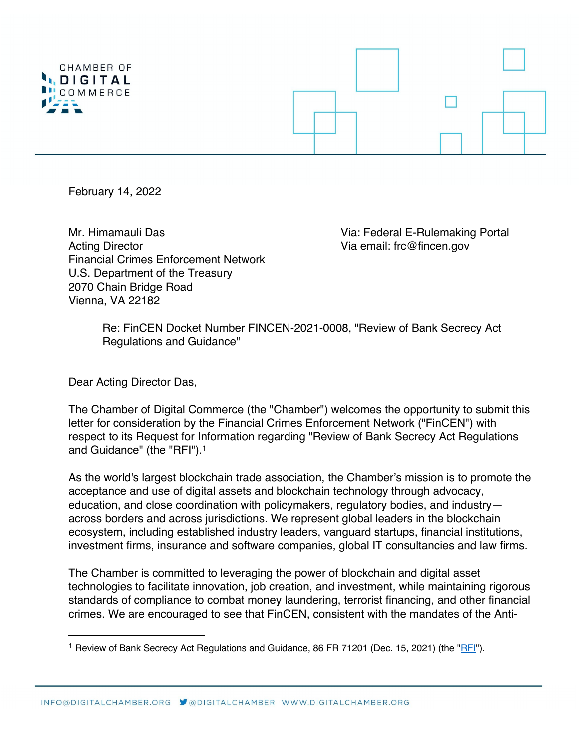

February 14, 2022

Mr. Himamauli Das Via: Federal E-Rulemaking Portal Acting Director **Acting Director** Acting Director Financial Crimes Enforcement Network U.S. Department of the Treasury 2070 Chain Bridge Road Vienna, VA 22182

Re: FinCEN Docket Number FINCEN-2021-0008, "Review of Bank Secrecy Act Regulations and Guidance"

Dear Acting Director Das,

The Chamber of Digital Commerce (the "Chamber") welcomes the opportunity to submit this letter for consideration by the Financial Crimes Enforcement Network ("FinCEN") with respect to its Request for Information regarding "Review of Bank Secrecy Act Regulations and Guidance" (the "RFI").1

As the world's largest blockchain trade association, the Chamber's mission is to promote the acceptance and use of digital assets and blockchain technology through advocacy, education, and close coordination with policymakers, regulatory bodies, and industry across borders and across jurisdictions. We represent global leaders in the blockchain ecosystem, including established industry leaders, vanguard startups, financial institutions, investment firms, insurance and software companies, global IT consultancies and law firms.

The Chamber is committed to leveraging the power of blockchain and digital asset technologies to facilitate innovation, job creation, and investment, while maintaining rigorous standards of compliance to combat money laundering, terrorist financing, and other financial crimes. We are encouraged to see that FinCEN, consistent with the mandates of the Anti-

<sup>&</sup>lt;sup>1</sup> Review of Bank Secrecy Act Regulations and Guidance, 86 FR 71201 (Dec. 15, 2021) (the "RFI").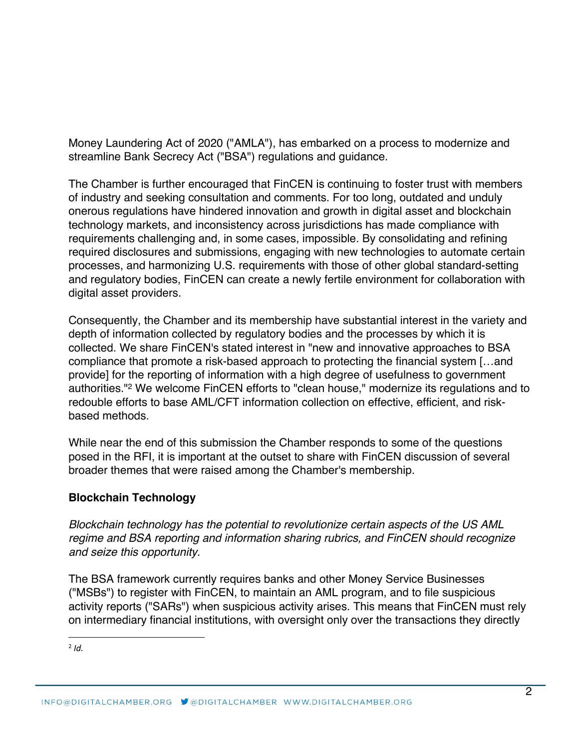Money Laundering Act of 2020 ("AMLA"), has embarked on a process to modernize and streamline Bank Secrecy Act ("BSA") regulations and guidance.

The Chamber is further encouraged that FinCEN is continuing to foster trust with members of industry and seeking consultation and comments. For too long, outdated and unduly onerous regulations have hindered innovation and growth in digital asset and blockchain technology markets, and inconsistency across jurisdictions has made compliance with requirements challenging and, in some cases, impossible. By consolidating and refining required disclosures and submissions, engaging with new technologies to automate certain processes, and harmonizing U.S. requirements with those of other global standard-setting and regulatory bodies, FinCEN can create a newly fertile environment for collaboration with digital asset providers.

Consequently, the Chamber and its membership have substantial interest in the variety and depth of information collected by regulatory bodies and the processes by which it is collected. We share FinCEN's stated interest in "new and innovative approaches to BSA compliance that promote a risk-based approach to protecting the financial system […and provide] for the reporting of information with a high degree of usefulness to government authorities."2 We welcome FinCEN efforts to "clean house," modernize its regulations and to redouble efforts to base AML/CFT information collection on effective, efficient, and riskbased methods.

While near the end of this submission the Chamber responds to some of the questions posed in the RFI, it is important at the outset to share with FinCEN discussion of several broader themes that were raised among the Chamber's membership.

# **Blockchain Technology**

*Blockchain technology has the potential to revolutionize certain aspects of the US AML regime and BSA reporting and information sharing rubrics, and FinCEN should recognize and seize this opportunity.* 

The BSA framework currently requires banks and other Money Service Businesses ("MSBs") to register with FinCEN, to maintain an AML program, and to file suspicious activity reports ("SARs") when suspicious activity arises. This means that FinCEN must rely on intermediary financial institutions, with oversight only over the transactions they directly

 $2$  *Id.*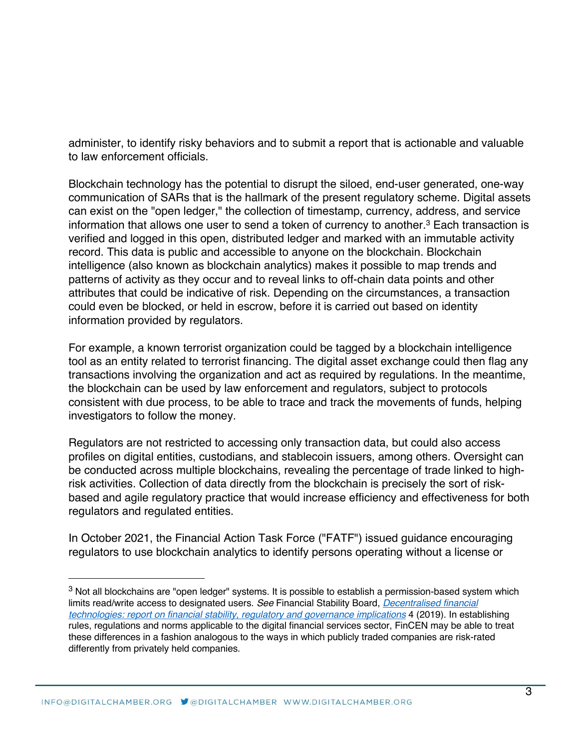administer, to identify risky behaviors and to submit a report that is actionable and valuable to law enforcement officials.

Blockchain technology has the potential to disrupt the siloed, end-user generated, one-way communication of SARs that is the hallmark of the present regulatory scheme. Digital assets can exist on the "open ledger," the collection of timestamp, currency, address, and service information that allows one user to send a token of currency to another.<sup>3</sup> Each transaction is verified and logged in this open, distributed ledger and marked with an immutable activity record. This data is public and accessible to anyone on the blockchain. Blockchain intelligence (also known as blockchain analytics) makes it possible to map trends and patterns of activity as they occur and to reveal links to off-chain data points and other attributes that could be indicative of risk. Depending on the circumstances, a transaction could even be blocked, or held in escrow, before it is carried out based on identity information provided by regulators.

For example, a known terrorist organization could be tagged by a blockchain intelligence tool as an entity related to terrorist financing. The digital asset exchange could then flag any transactions involving the organization and act as required by regulations. In the meantime, the blockchain can be used by law enforcement and regulators, subject to protocols consistent with due process, to be able to trace and track the movements of funds, helping investigators to follow the money.

Regulators are not restricted to accessing only transaction data, but could also access profiles on digital entities, custodians, and stablecoin issuers, among others. Oversight can be conducted across multiple blockchains, revealing the percentage of trade linked to highrisk activities. Collection of data directly from the blockchain is precisely the sort of riskbased and agile regulatory practice that would increase efficiency and effectiveness for both regulators and regulated entities.

In October 2021, the Financial Action Task Force ("FATF") issued guidance encouraging regulators to use blockchain analytics to identify persons operating without a license or

<sup>&</sup>lt;sup>3</sup> Not all blockchains are "open ledger" systems. It is possible to establish a permission-based system which limits read/write access to designated users. *See* Financial Stability Board, *Decentralised financial technologies: report on financial stability, regulatory and governance implications* 4 (2019). In establishing rules, regulations and norms applicable to the digital financial services sector, FinCEN may be able to treat these differences in a fashion analogous to the ways in which publicly traded companies are risk-rated differently from privately held companies.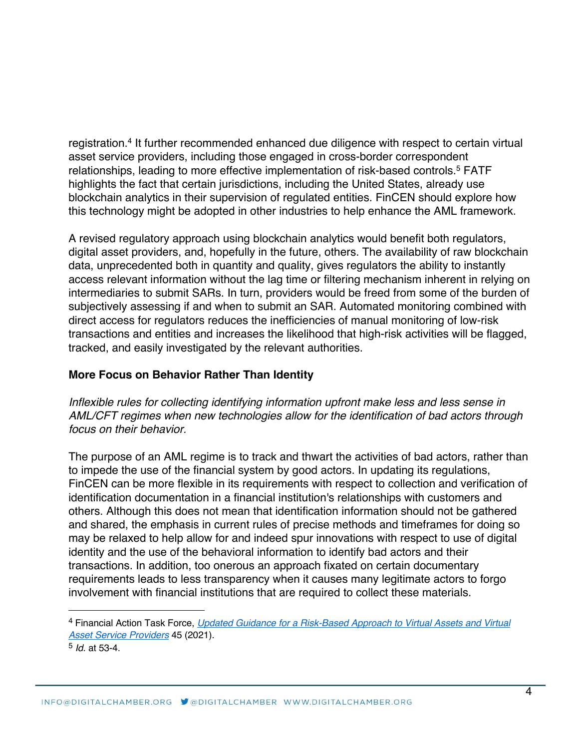registration.<sup>4</sup> It further recommended enhanced due diligence with respect to certain virtual asset service providers, including those engaged in cross-border correspondent relationships, leading to more effective implementation of risk-based controls.<sup>5</sup> FATF highlights the fact that certain jurisdictions, including the United States, already use blockchain analytics in their supervision of regulated entities. FinCEN should explore how this technology might be adopted in other industries to help enhance the AML framework.

A revised regulatory approach using blockchain analytics would benefit both regulators, digital asset providers, and, hopefully in the future, others. The availability of raw blockchain data, unprecedented both in quantity and quality, gives regulators the ability to instantly access relevant information without the lag time or filtering mechanism inherent in relying on intermediaries to submit SARs. In turn, providers would be freed from some of the burden of subjectively assessing if and when to submit an SAR. Automated monitoring combined with direct access for regulators reduces the inefficiencies of manual monitoring of low-risk transactions and entities and increases the likelihood that high-risk activities will be flagged, tracked, and easily investigated by the relevant authorities.

# **More Focus on Behavior Rather Than Identity**

*Inflexible rules for collecting identifying information upfront make less and less sense in AML/CFT regimes when new technologies allow for the identification of bad actors through focus on their behavior.*

The purpose of an AML regime is to track and thwart the activities of bad actors, rather than to impede the use of the financial system by good actors. In updating its regulations, FinCEN can be more flexible in its requirements with respect to collection and verification of identification documentation in a financial institution's relationships with customers and others. Although this does not mean that identification information should not be gathered and shared, the emphasis in current rules of precise methods and timeframes for doing so may be relaxed to help allow for and indeed spur innovations with respect to use of digital identity and the use of the behavioral information to identify bad actors and their transactions. In addition, too onerous an approach fixated on certain documentary requirements leads to less transparency when it causes many legitimate actors to forgo involvement with financial institutions that are required to collect these materials.

<sup>4</sup> Financial Action Task Force, *Updated Guidance for a Risk-Based Approach to Virtual Assets and Virtual Asset Service Providers* 45 (2021).

<sup>5</sup> *Id.* at 53-4.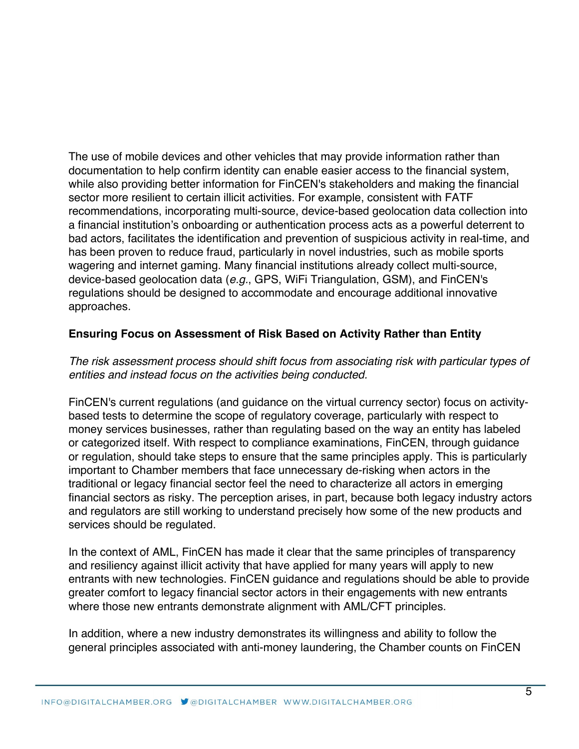The use of mobile devices and other vehicles that may provide information rather than documentation to help confirm identity can enable easier access to the financial system, while also providing better information for FinCEN's stakeholders and making the financial sector more resilient to certain illicit activities. For example, consistent with FATF recommendations, incorporating multi-source, device-based geolocation data collection into a financial institution's onboarding or authentication process acts as a powerful deterrent to bad actors, facilitates the identification and prevention of suspicious activity in real-time, and has been proven to reduce fraud, particularly in novel industries, such as mobile sports wagering and internet gaming. Many financial institutions already collect multi-source, device-based geolocation data (*e.g.*, GPS, WiFi Triangulation, GSM), and FinCEN's regulations should be designed to accommodate and encourage additional innovative approaches.

## **Ensuring Focus on Assessment of Risk Based on Activity Rather than Entity**

## *The risk assessment process should shift focus from associating risk with particular types of entities and instead focus on the activities being conducted.*

FinCEN's current regulations (and guidance on the virtual currency sector) focus on activitybased tests to determine the scope of regulatory coverage, particularly with respect to money services businesses, rather than regulating based on the way an entity has labeled or categorized itself. With respect to compliance examinations, FinCEN, through guidance or regulation, should take steps to ensure that the same principles apply. This is particularly important to Chamber members that face unnecessary de-risking when actors in the traditional or legacy financial sector feel the need to characterize all actors in emerging financial sectors as risky. The perception arises, in part, because both legacy industry actors and regulators are still working to understand precisely how some of the new products and services should be regulated.

In the context of AML, FinCEN has made it clear that the same principles of transparency and resiliency against illicit activity that have applied for many years will apply to new entrants with new technologies. FinCEN guidance and regulations should be able to provide greater comfort to legacy financial sector actors in their engagements with new entrants where those new entrants demonstrate alignment with AML/CFT principles.

In addition, where a new industry demonstrates its willingness and ability to follow the general principles associated with anti-money laundering, the Chamber counts on FinCEN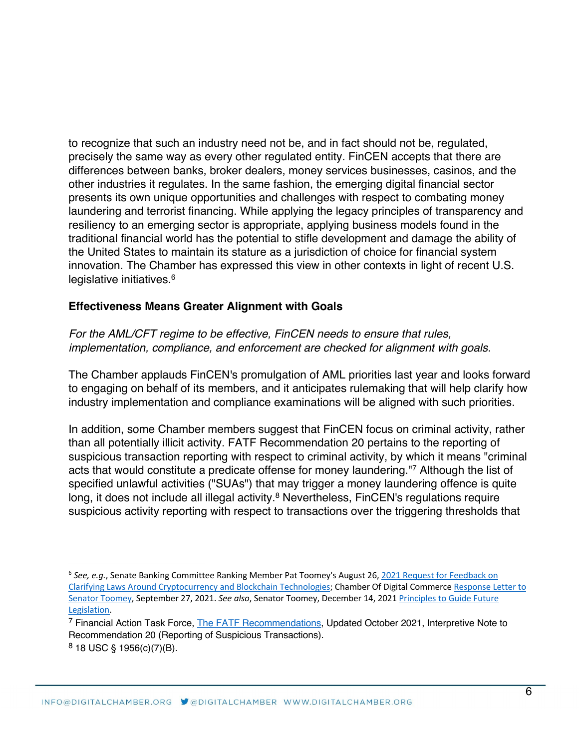to recognize that such an industry need not be, and in fact should not be, regulated, precisely the same way as every other regulated entity. FinCEN accepts that there are differences between banks, broker dealers, money services businesses, casinos, and the other industries it regulates. In the same fashion, the emerging digital financial sector presents its own unique opportunities and challenges with respect to combating money laundering and terrorist financing. While applying the legacy principles of transparency and resiliency to an emerging sector is appropriate, applying business models found in the traditional financial world has the potential to stifle development and damage the ability of the United States to maintain its stature as a jurisdiction of choice for financial system innovation. The Chamber has expressed this view in other contexts in light of recent U.S. legislative initiatives.<sup>6</sup>

### **Effectiveness Means Greater Alignment with Goals**

*For the AML/CFT regime to be effective, FinCEN needs to ensure that rules, implementation, compliance, and enforcement are checked for alignment with goals.*

The Chamber applauds FinCEN's promulgation of AML priorities last year and looks forward to engaging on behalf of its members, and it anticipates rulemaking that will help clarify how industry implementation and compliance examinations will be aligned with such priorities.

In addition, some Chamber members suggest that FinCEN focus on criminal activity, rather than all potentially illicit activity. FATF Recommendation 20 pertains to the reporting of suspicious transaction reporting with respect to criminal activity, by which it means "criminal acts that would constitute a predicate offense for money laundering."7 Although the list of specified unlawful activities ("SUAs") that may trigger a money laundering offence is quite long, it does not include all illegal activity.<sup>8</sup> Nevertheless, FinCEN's regulations require suspicious activity reporting with respect to transactions over the triggering thresholds that

<sup>6</sup> *See, e.g.*, Senate Banking Committee Ranking Member Pat Toomey's August 26, 2021 Request for Feedback on Clarifying Laws Around Cryptocurrency and Blockchain Technologies; Chamber Of Digital Commerce Response Letter to Senator Toomey, September 27, 2021. *See also*, Senator Toomey, December 14, 2021 Principles to Guide Future Legislation.

<sup>&</sup>lt;sup>7</sup> Financial Action Task Force, The FATF Recommendations, Updated October 2021, Interpretive Note to Recommendation 20 (Reporting of Suspicious Transactions).  $8$  18 USC § 1956(c)(7)(B).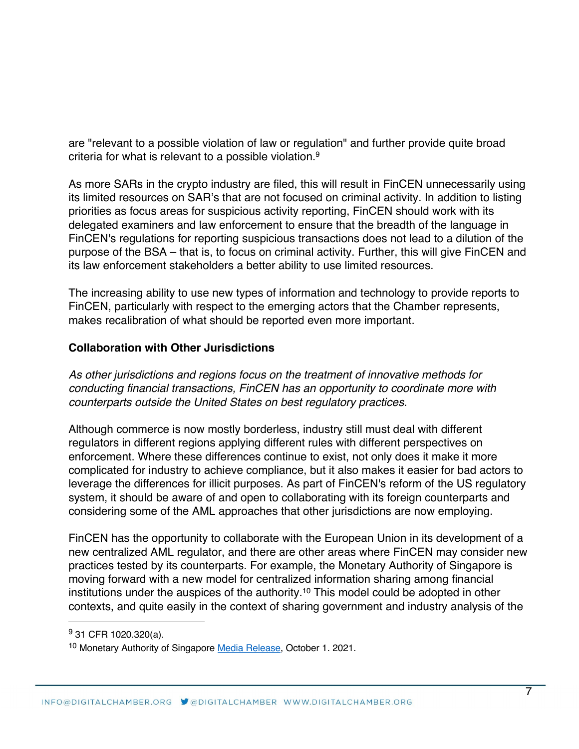are "relevant to a possible violation of law or regulation" and further provide quite broad criteria for what is relevant to a possible violation.9

As more SARs in the crypto industry are filed, this will result in FinCEN unnecessarily using its limited resources on SAR's that are not focused on criminal activity. In addition to listing priorities as focus areas for suspicious activity reporting, FinCEN should work with its delegated examiners and law enforcement to ensure that the breadth of the language in FinCEN's regulations for reporting suspicious transactions does not lead to a dilution of the purpose of the BSA – that is, to focus on criminal activity. Further, this will give FinCEN and its law enforcement stakeholders a better ability to use limited resources.

The increasing ability to use new types of information and technology to provide reports to FinCEN, particularly with respect to the emerging actors that the Chamber represents, makes recalibration of what should be reported even more important.

## **Collaboration with Other Jurisdictions**

*As other jurisdictions and regions focus on the treatment of innovative methods for conducting financial transactions, FinCEN has an opportunity to coordinate more with counterparts outside the United States on best regulatory practices.*

Although commerce is now mostly borderless, industry still must deal with different regulators in different regions applying different rules with different perspectives on enforcement. Where these differences continue to exist, not only does it make it more complicated for industry to achieve compliance, but it also makes it easier for bad actors to leverage the differences for illicit purposes. As part of FinCEN's reform of the US regulatory system, it should be aware of and open to collaborating with its foreign counterparts and considering some of the AML approaches that other jurisdictions are now employing.

FinCEN has the opportunity to collaborate with the European Union in its development of a new centralized AML regulator, and there are other areas where FinCEN may consider new practices tested by its counterparts. For example, the Monetary Authority of Singapore is moving forward with a new model for centralized information sharing among financial institutions under the auspices of the authority.10 This model could be adopted in other contexts, and quite easily in the context of sharing government and industry analysis of the

<sup>9</sup> 31 CFR 1020.320(a).

<sup>10</sup> Monetary Authority of Singapore Media Release, October 1. 2021.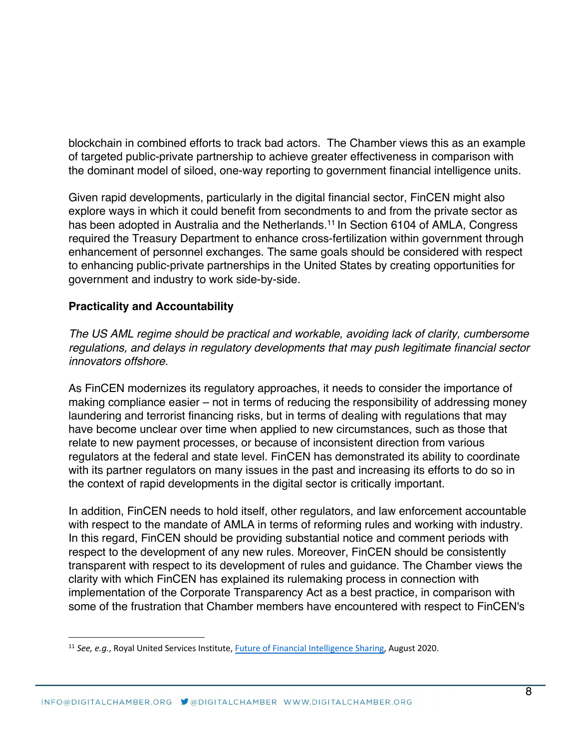blockchain in combined efforts to track bad actors. The Chamber views this as an example of targeted public-private partnership to achieve greater effectiveness in comparison with the dominant model of siloed, one-way reporting to government financial intelligence units.

Given rapid developments, particularly in the digital financial sector, FinCEN might also explore ways in which it could benefit from secondments to and from the private sector as has been adopted in Australia and the Netherlands.<sup>11</sup> In Section 6104 of AMLA, Congress required the Treasury Department to enhance cross-fertilization within government through enhancement of personnel exchanges. The same goals should be considered with respect to enhancing public-private partnerships in the United States by creating opportunities for government and industry to work side-by-side.

# **Practicality and Accountability**

*The US AML regime should be practical and workable, avoiding lack of clarity, cumbersome regulations, and delays in regulatory developments that may push legitimate financial sector innovators offshore.* 

As FinCEN modernizes its regulatory approaches, it needs to consider the importance of making compliance easier – not in terms of reducing the responsibility of addressing money laundering and terrorist financing risks, but in terms of dealing with regulations that may have become unclear over time when applied to new circumstances, such as those that relate to new payment processes, or because of inconsistent direction from various regulators at the federal and state level. FinCEN has demonstrated its ability to coordinate with its partner regulators on many issues in the past and increasing its efforts to do so in the context of rapid developments in the digital sector is critically important.

In addition, FinCEN needs to hold itself, other regulators, and law enforcement accountable with respect to the mandate of AMLA in terms of reforming rules and working with industry. In this regard, FinCEN should be providing substantial notice and comment periods with respect to the development of any new rules. Moreover, FinCEN should be consistently transparent with respect to its development of rules and guidance. The Chamber views the clarity with which FinCEN has explained its rulemaking process in connection with implementation of the Corporate Transparency Act as a best practice, in comparison with some of the frustration that Chamber members have encountered with respect to FinCEN's

<sup>11</sup> *See, e.g.*, Royal United Services Institute, Future of Financial Intelligence Sharing, August 2020.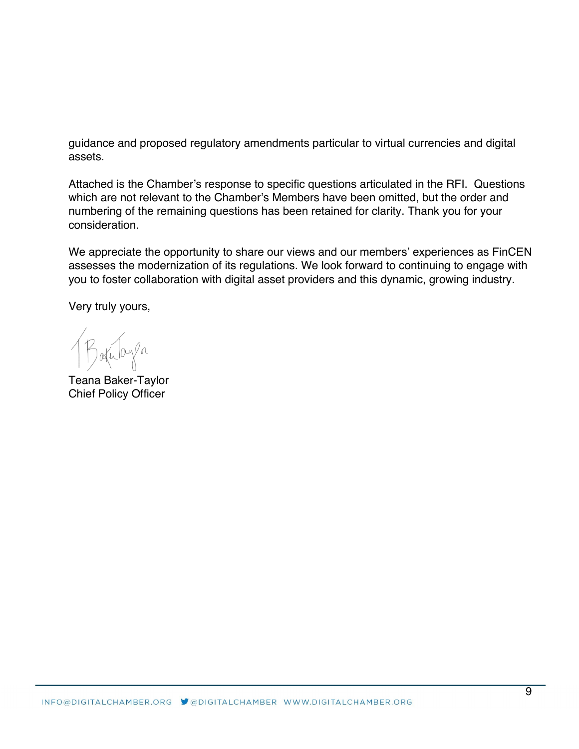guidance and proposed regulatory amendments particular to virtual currencies and digital assets.

Attached is the Chamber's response to specific questions articulated in the RFI. Questions which are not relevant to the Chamber's Members have been omitted, but the order and numbering of the remaining questions has been retained for clarity. Thank you for your consideration.

We appreciate the opportunity to share our views and our members' experiences as FinCEN assesses the modernization of its regulations. We look forward to continuing to engage with you to foster collaboration with digital asset providers and this dynamic, growing industry.

Very truly yours,

Bakulaya

Teana Baker-Taylor Chief Policy Officer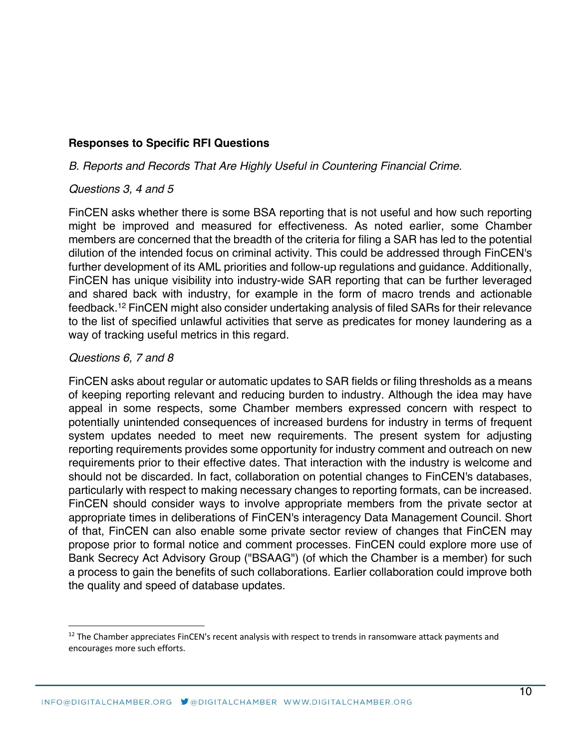# **Responses to Specific RFI Questions**

## *B. Reports and Records That Are Highly Useful in Countering Financial Crime.*

### *Questions 3, 4 and 5*

FinCEN asks whether there is some BSA reporting that is not useful and how such reporting might be improved and measured for effectiveness. As noted earlier, some Chamber members are concerned that the breadth of the criteria for filing a SAR has led to the potential dilution of the intended focus on criminal activity. This could be addressed through FinCEN's further development of its AML priorities and follow-up regulations and guidance. Additionally, FinCEN has unique visibility into industry-wide SAR reporting that can be further leveraged and shared back with industry, for example in the form of macro trends and actionable feedback.12 FinCEN might also consider undertaking analysis of filed SARs for their relevance to the list of specified unlawful activities that serve as predicates for money laundering as a way of tracking useful metrics in this regard.

### *Questions 6, 7 and 8*

FinCEN asks about regular or automatic updates to SAR fields or filing thresholds as a means of keeping reporting relevant and reducing burden to industry. Although the idea may have appeal in some respects, some Chamber members expressed concern with respect to potentially unintended consequences of increased burdens for industry in terms of frequent system updates needed to meet new requirements. The present system for adjusting reporting requirements provides some opportunity for industry comment and outreach on new requirements prior to their effective dates. That interaction with the industry is welcome and should not be discarded. In fact, collaboration on potential changes to FinCEN's databases, particularly with respect to making necessary changes to reporting formats, can be increased. FinCEN should consider ways to involve appropriate members from the private sector at appropriate times in deliberations of FinCEN's interagency Data Management Council. Short of that, FinCEN can also enable some private sector review of changes that FinCEN may propose prior to formal notice and comment processes. FinCEN could explore more use of Bank Secrecy Act Advisory Group ("BSAAG") (of which the Chamber is a member) for such a process to gain the benefits of such collaborations. Earlier collaboration could improve both the quality and speed of database updates.

 $12$  The Chamber appreciates FinCEN's recent analysis with respect to trends in ransomware attack payments and encourages more such efforts.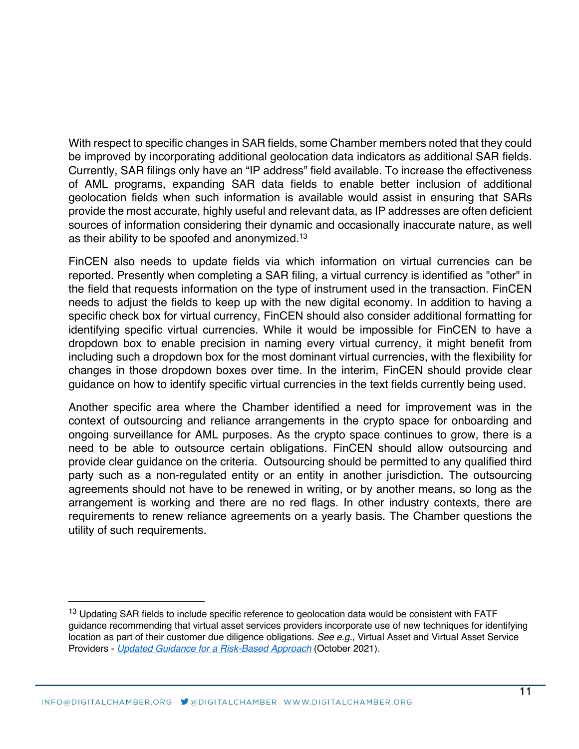With respect to specific changes in SAR fields, some Chamber members noted that they could be improved by incorporating additional geolocation data indicators as additional SAR fields. Currently, SAR filings only have an "IP address" field available. To increase the effectiveness of AML programs, expanding SAR data fields to enable better inclusion of additional geolocation fields when such information is available would assist in ensuring that SARs provide the most accurate, highly useful and relevant data, as IP addresses are often deficient sources of information considering their dynamic and occasionally inaccurate nature, as well as their ability to be spoofed and anonymized.13

FinCEN also needs to update fields via which information on virtual currencies can be reported. Presently when completing a SAR filing, a virtual currency is identified as "other" in the field that requests information on the type of instrument used in the transaction. FinCEN needs to adjust the fields to keep up with the new digital economy. In addition to having a specific check box for virtual currency, FinCEN should also consider additional formatting for identifying specific virtual currencies. While it would be impossible for FinCEN to have a dropdown box to enable precision in naming every virtual currency, it might benefit from including such a dropdown box for the most dominant virtual currencies, with the flexibility for changes in those dropdown boxes over time. In the interim, FinCEN should provide clear guidance on how to identify specific virtual currencies in the text fields currently being used.

Another specific area where the Chamber identified a need for improvement was in the context of outsourcing and reliance arrangements in the crypto space for onboarding and ongoing surveillance for AML purposes. As the crypto space continues to grow, there is a need to be able to outsource certain obligations. FinCEN should allow outsourcing and provide clear guidance on the criteria. Outsourcing should be permitted to any qualified third party such as a non-regulated entity or an entity in another jurisdiction. The outsourcing agreements should not have to be renewed in writing, or by another means, so long as the arrangement is working and there are no red flags. In other industry contexts, there are requirements to renew reliance agreements on a yearly basis. The Chamber questions the utility of such requirements.

<sup>&</sup>lt;sup>13</sup> Updating SAR fields to include specific reference to geolocation data would be consistent with FATF guidance recommending that virtual asset services providers incorporate use of new techniques for identifying location as part of their customer due diligence obligations. *See e.g.*, Virtual Asset and Virtual Asset Service Providers - *Updated Guidance for a Risk-Based Approach* (October 2021).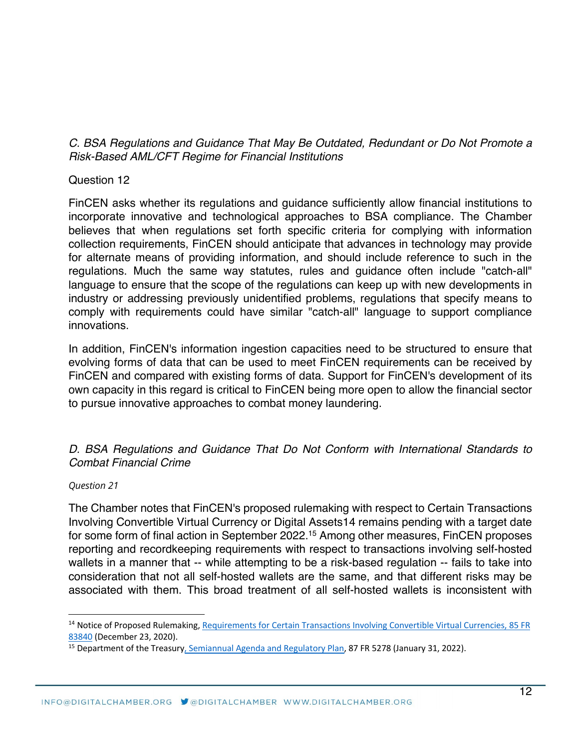*C. BSA Regulations and Guidance That May Be Outdated, Redundant or Do Not Promote a Risk-Based AML/CFT Regime for Financial Institutions*

### Question 12

FinCEN asks whether its regulations and guidance sufficiently allow financial institutions to incorporate innovative and technological approaches to BSA compliance. The Chamber believes that when regulations set forth specific criteria for complying with information collection requirements, FinCEN should anticipate that advances in technology may provide for alternate means of providing information, and should include reference to such in the regulations. Much the same way statutes, rules and guidance often include "catch-all" language to ensure that the scope of the regulations can keep up with new developments in industry or addressing previously unidentified problems, regulations that specify means to comply with requirements could have similar "catch-all" language to support compliance innovations.

In addition, FinCEN's information ingestion capacities need to be structured to ensure that evolving forms of data that can be used to meet FinCEN requirements can be received by FinCEN and compared with existing forms of data. Support for FinCEN's development of its own capacity in this regard is critical to FinCEN being more open to allow the financial sector to pursue innovative approaches to combat money laundering.

## *D. BSA Regulations and Guidance That Do Not Conform with International Standards to Combat Financial Crime*

#### *Question 21*

The Chamber notes that FinCEN's proposed rulemaking with respect to Certain Transactions Involving Convertible Virtual Currency or Digital Assets14 remains pending with a target date for some form of final action in September 2022.15 Among other measures, FinCEN proposes reporting and recordkeeping requirements with respect to transactions involving self-hosted wallets in a manner that -- while attempting to be a risk-based regulation -- fails to take into consideration that not all self-hosted wallets are the same, and that different risks may be associated with them. This broad treatment of all self-hosted wallets is inconsistent with

<sup>&</sup>lt;sup>14</sup> Notice of Proposed Rulemaking, Requirements for Certain Transactions Involving Convertible Virtual Currencies, 85 FR 83840 (December 23, 2020).<br><sup>15</sup> Department of the Treasury, Semiannual Agenda and Regulatory Plan, 87 FR 5278 (January 31, 2022).